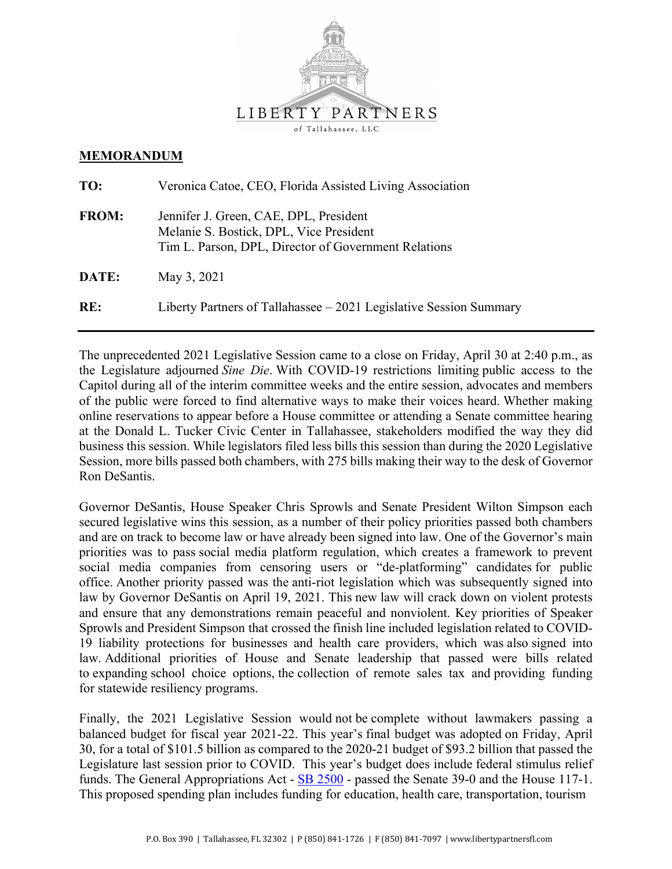

#### **MEMORANDUM**

| TO:          | Veronica Catoe, CEO, Florida Assisted Living Association                                                                                  |
|--------------|-------------------------------------------------------------------------------------------------------------------------------------------|
| <b>FROM:</b> | Jennifer J. Green, CAE, DPL, President<br>Melanie S. Bostick, DPL, Vice President<br>Tim L. Parson, DPL, Director of Government Relations |
| DATE:        | May 3, 2021                                                                                                                               |
| RE:          | Liberty Partners of Tallahassee $-2021$ Legislative Session Summary                                                                       |

The unprecedented 2021 Legislative Session came to a close on Friday, April 30 at 2:40 p.m., as the Legislature adjourned *Sine Die*. With COVID-19 restrictions limiting public access to the Capitol during all of the interim committee weeks and the entire session, advocates and members of the public were forced to find alternative ways to make their voices heard. Whether making online reservations to appear before a House committee or attending a Senate committee hearing at the Donald L. Tucker Civic Center in Tallahassee, stakeholders modified the way they did business this session. While legislators filed less bills this session than during the 2020 Legislative Session, more bills passed both chambers, with 275 bills making their way to the desk of Governor Ron DeSantis.

Governor DeSantis, House Speaker Chris Sprowls and Senate President Wilton Simpson each secured legislative wins this session, as a number of their policy priorities passed both chambers and are on track to become law or have already been signed into law. One of the Governor's main priorities was to pass social media platform regulation, which creates a framework to prevent social media companies from censoring users or "de-platforming" candidates for public office. Another priority passed was the anti-riot legislation which was subsequently signed into law by Governor DeSantis on April 19, 2021. This new law will crack down on violent protests and ensure that any demonstrations remain peaceful and nonviolent. Key priorities of Speaker Sprowls and President Simpson that crossed the finish line included legislation related to COVID-19 liability protections for businesses and health care providers, which was also signed into law. Additional priorities of House and Senate leadership that passed were bills related to expanding school choice options, the collection of remote sales tax and providing funding for statewide resiliency programs.

Finally, the 2021 Legislative Session would not be complete without lawmakers passing a balanced budget for fiscal year 2021-22. This year's final budget was adopted on Friday, April 30, for a total of \$101.5 billion as compared to the 2020-21 budget of \$93.2 billion that passed the Legislature last session prior to COVID. This year's budget does include federal stimulus relief funds. The General Appropriations Act - SB 2500 - passed the Senate 39-0 and the House 117-1. This proposed spending plan includes funding for education, health care, transportation, tourism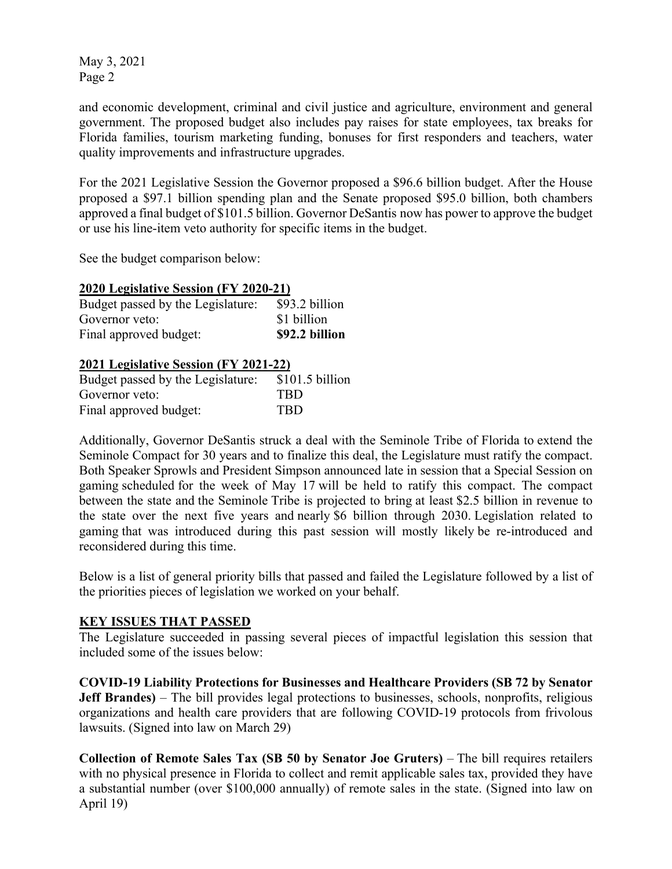and economic development, criminal and civil justice and agriculture, environment and general government. The proposed budget also includes pay raises for state employees, tax breaks for Florida families, tourism marketing funding, bonuses for first responders and teachers, water quality improvements and infrastructure upgrades.

For the 2021 Legislative Session the Governor proposed a \$96.6 billion budget. After the House proposed a \$97.1 billion spending plan and the Senate proposed \$95.0 billion, both chambers approved a final budget of \$101.5 billion. Governor DeSantis now has power to approve the budget or use his line-item veto authority for specific items in the budget.

See the budget comparison below:

#### **2020 Legislative Session (FY 2020-21)**

| Budget passed by the Legislature: | \$93.2 billion |
|-----------------------------------|----------------|
| Governor yeto:                    | \$1 billion    |
| Final approved budget:            | \$92.2 billion |

### **2021 Legislative Session (FY 2021-22)**

| Budget passed by the Legislature: | $$101.5$ billion |
|-----------------------------------|------------------|
| Governor veto:                    | <b>TRD</b>       |
| Final approved budget:            | <b>TRD</b>       |

Additionally, Governor DeSantis struck a deal with the Seminole Tribe of Florida to extend the Seminole Compact for 30 years and to finalize this deal, the Legislature must ratify the compact. Both Speaker Sprowls and President Simpson announced late in session that a Special Session on gaming scheduled for the week of May 17 will be held to ratify this compact. The compact between the state and the Seminole Tribe is projected to bring at least \$2.5 billion in revenue to the state over the next five years and nearly \$6 billion through 2030. Legislation related to gaming that was introduced during this past session will mostly likely be re-introduced and reconsidered during this time.

Below is a list of general priority bills that passed and failed the Legislature followed by a list of the priorities pieces of legislation we worked on your behalf.

#### **KEY ISSUES THAT PASSED**

The Legislature succeeded in passing several pieces of impactful legislation this session that included some of the issues below:

**COVID-19 Liability Protections for Businesses and Healthcare Providers (SB 72 by Senator Jeff Brandes)** – The bill provides legal protections to businesses, schools, nonprofits, religious organizations and health care providers that are following COVID-19 protocols from frivolous lawsuits. (Signed into law on March 29)

**Collection of Remote Sales Tax (SB 50 by Senator Joe Gruters)** – The bill requires retailers with no physical presence in Florida to collect and remit applicable sales tax, provided they have a substantial number (over \$100,000 annually) of remote sales in the state. (Signed into law on April 19)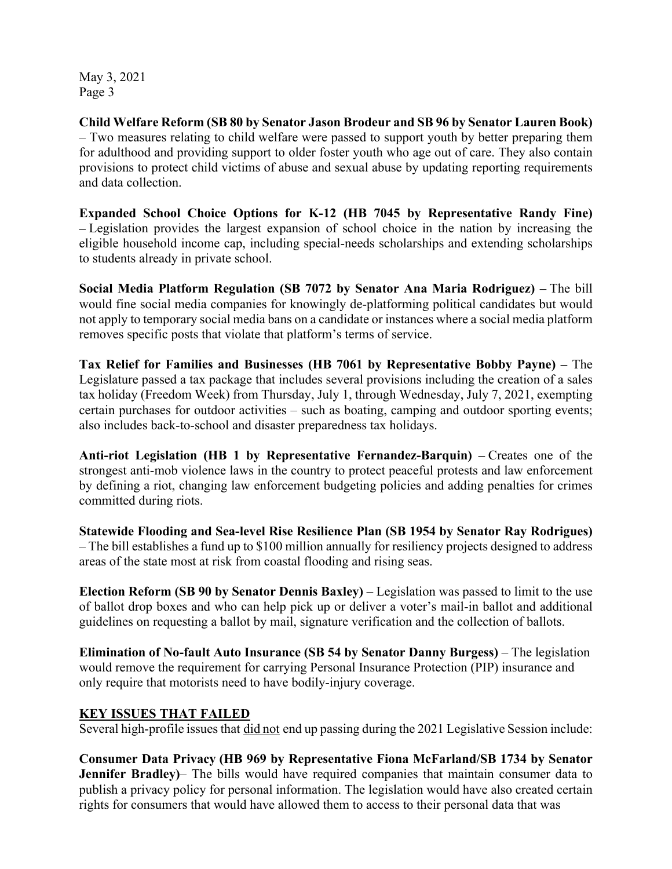**Child Welfare Reform (SB 80 by Senator Jason Brodeur and SB 96 by Senator Lauren Book)** – Two measures relating to child welfare were passed to support youth by better preparing them for adulthood and providing support to older foster youth who age out of care. They also contain provisions to protect child victims of abuse and sexual abuse by updating reporting requirements and data collection.

**Expanded School Choice Options for K-12 (HB 7045 by Representative Randy Fine) –** Legislation provides the largest expansion of school choice in the nation by increasing the eligible household income cap, including special-needs scholarships and extending scholarships to students already in private school.

**Social Media Platform Regulation (SB 7072 by Senator Ana Maria Rodriguez) –** The bill would fine social media companies for knowingly de-platforming political candidates but would not apply to temporary social media bans on a candidate or instances where a social media platform removes specific posts that violate that platform's terms of service.

**Tax Relief for Families and Businesses (HB 7061 by Representative Bobby Payne) –** The Legislature passed a tax package that includes several provisions including the creation of a sales tax holiday (Freedom Week) from Thursday, July 1, through Wednesday, July 7, 2021, exempting certain purchases for outdoor activities – such as boating, camping and outdoor sporting events; also includes back-to-school and disaster preparedness tax holidays.

**Anti-riot Legislation (HB 1 by Representative Fernandez-Barquin) –** Creates one of the strongest anti-mob violence laws in the country to protect peaceful protests and law enforcement by defining a riot, changing law enforcement budgeting policies and adding penalties for crimes committed during riots.

**Statewide Flooding and Sea-level Rise Resilience Plan (SB 1954 by Senator Ray Rodrigues)** – The bill establishes a fund up to \$100 million annually for resiliency projects designed to address areas of the state most at risk from coastal flooding and rising seas.

**Election Reform (SB 90 by Senator Dennis Baxley)** – Legislation was passed to limit to the use of ballot drop boxes and who can help pick up or deliver a voter's mail-in ballot and additional guidelines on requesting a ballot by mail, signature verification and the collection of ballots.

**Elimination of No-fault Auto Insurance (SB 54 by Senator Danny Burgess)** – The legislation would remove the requirement for carrying Personal Insurance Protection (PIP) insurance and only require that motorists need to have bodily-injury coverage.

### **KEY ISSUES THAT FAILED**

Several high-profile issues that did not end up passing during the 2021 Legislative Session include:

**Consumer Data Privacy (HB 969 by Representative Fiona McFarland/SB 1734 by Senator Jennifer Bradley)**– The bills would have required companies that maintain consumer data to publish a privacy policy for personal information. The legislation would have also created certain rights for consumers that would have allowed them to access to their personal data that was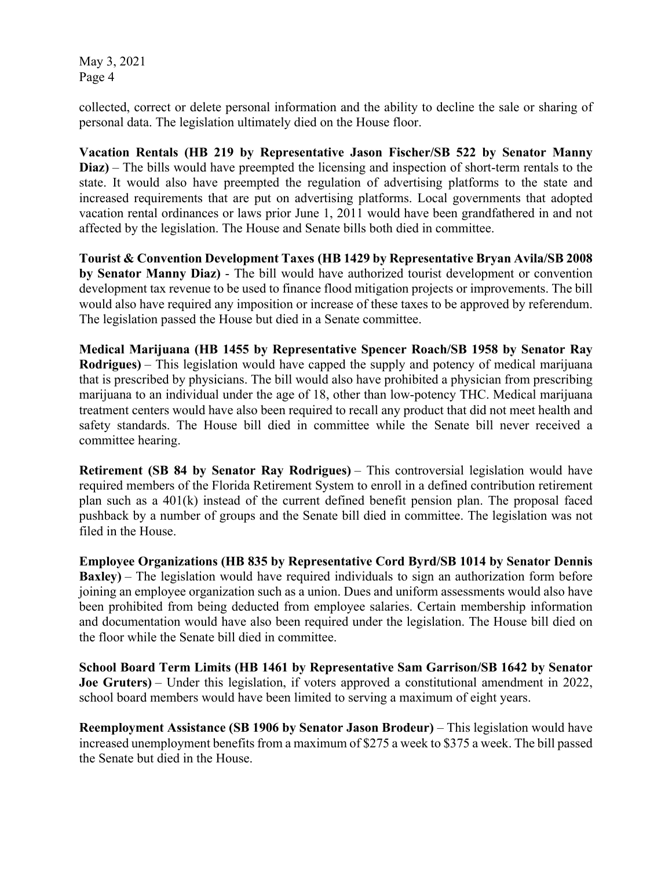collected, correct or delete personal information and the ability to decline the sale or sharing of personal data. The legislation ultimately died on the House floor.

**Vacation Rentals (HB 219 by Representative Jason Fischer/SB 522 by Senator Manny Diaz)** – The bills would have preempted the licensing and inspection of short-term rentals to the state. It would also have preempted the regulation of advertising platforms to the state and increased requirements that are put on advertising platforms. Local governments that adopted vacation rental ordinances or laws prior June 1, 2011 would have been grandfathered in and not affected by the legislation. The House and Senate bills both died in committee.

**Tourist & Convention Development Taxes (HB 1429 by Representative Bryan Avila/SB 2008 by Senator Manny Diaz)** - The bill would have authorized tourist development or convention development tax revenue to be used to finance flood mitigation projects or improvements. The bill would also have required any imposition or increase of these taxes to be approved by referendum. The legislation passed the House but died in a Senate committee.

**Medical Marijuana (HB 1455 by Representative Spencer Roach/SB 1958 by Senator Ray Rodrigues)** – This legislation would have capped the supply and potency of medical marijuana that is prescribed by physicians. The bill would also have prohibited a physician from prescribing marijuana to an individual under the age of 18, other than low-potency THC. Medical marijuana treatment centers would have also been required to recall any product that did not meet health and safety standards. The House bill died in committee while the Senate bill never received a committee hearing.

**Retirement (SB 84 by Senator Ray Rodrigues)** – This controversial legislation would have required members of the Florida Retirement System to enroll in a defined contribution retirement plan such as a 401(k) instead of the current defined benefit pension plan. The proposal faced pushback by a number of groups and the Senate bill died in committee. The legislation was not filed in the House.

**Employee Organizations (HB 835 by Representative Cord Byrd/SB 1014 by Senator Dennis Baxley)** – The legislation would have required individuals to sign an authorization form before joining an employee organization such as a union. Dues and uniform assessments would also have been prohibited from being deducted from employee salaries. Certain membership information and documentation would have also been required under the legislation. The House bill died on the floor while the Senate bill died in committee.

**School Board Term Limits (HB 1461 by Representative Sam Garrison/SB 1642 by Senator Joe Gruters)** – Under this legislation, if voters approved a constitutional amendment in 2022, school board members would have been limited to serving a maximum of eight years.

**Reemployment Assistance (SB 1906 by Senator Jason Brodeur)** – This legislation would have increased unemployment benefits from a maximum of \$275 a week to \$375 a week. The bill passed the Senate but died in the House.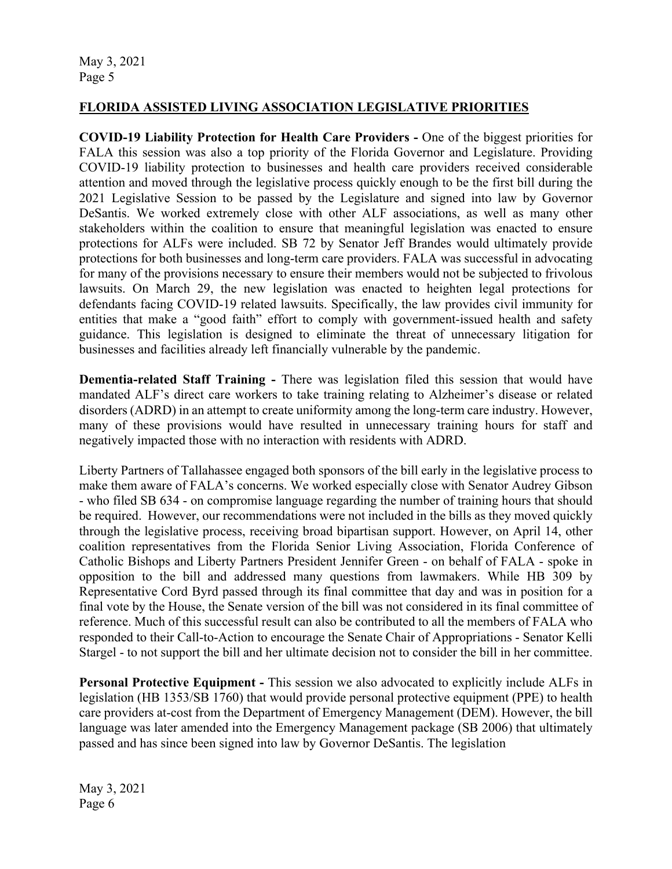### **FLORIDA ASSISTED LIVING ASSOCIATION LEGISLATIVE PRIORITIES**

**COVID-19 Liability Protection for Health Care Providers -** One of the biggest priorities for FALA this session was also a top priority of the Florida Governor and Legislature. Providing COVID-19 liability protection to businesses and health care providers received considerable attention and moved through the legislative process quickly enough to be the first bill during the 2021 Legislative Session to be passed by the Legislature and signed into law by Governor DeSantis. We worked extremely close with other ALF associations, as well as many other stakeholders within the coalition to ensure that meaningful legislation was enacted to ensure protections for ALFs were included. SB 72 by Senator Jeff Brandes would ultimately provide protections for both businesses and long-term care providers. FALA was successful in advocating for many of the provisions necessary to ensure their members would not be subjected to frivolous lawsuits. On March 29, the new legislation was enacted to heighten legal protections for defendants facing COVID-19 related lawsuits. Specifically, the law provides civil immunity for entities that make a "good faith" effort to comply with government-issued health and safety guidance. This legislation is designed to eliminate the threat of unnecessary litigation for businesses and facilities already left financially vulnerable by the pandemic.

**Dementia-related Staff Training -** There was legislation filed this session that would have mandated ALF's direct care workers to take training relating to Alzheimer's disease or related disorders (ADRD) in an attempt to create uniformity among the long-term care industry. However, many of these provisions would have resulted in unnecessary training hours for staff and negatively impacted those with no interaction with residents with ADRD.

Liberty Partners of Tallahassee engaged both sponsors of the bill early in the legislative process to make them aware of FALA's concerns. We worked especially close with Senator Audrey Gibson - who filed SB 634 - on compromise language regarding the number of training hours that should be required. However, our recommendations were not included in the bills as they moved quickly through the legislative process, receiving broad bipartisan support. However, on April 14, other coalition representatives from the Florida Senior Living Association, Florida Conference of Catholic Bishops and Liberty Partners President Jennifer Green - on behalf of FALA - spoke in opposition to the bill and addressed many questions from lawmakers. While HB 309 by Representative Cord Byrd passed through its final committee that day and was in position for a final vote by the House, the Senate version of the bill was not considered in its final committee of reference. Much of this successful result can also be contributed to all the members of FALA who responded to their Call-to-Action to encourage the Senate Chair of Appropriations - Senator Kelli Stargel - to not support the bill and her ultimate decision not to consider the bill in her committee.

**Personal Protective Equipment -** This session we also advocated to explicitly include ALFs in legislation (HB 1353/SB 1760) that would provide personal protective equipment (PPE) to health care providers at-cost from the Department of Emergency Management (DEM). However, the bill language was later amended into the Emergency Management package (SB 2006) that ultimately passed and has since been signed into law by Governor DeSantis. The legislation

May 3, 2021 Page 6